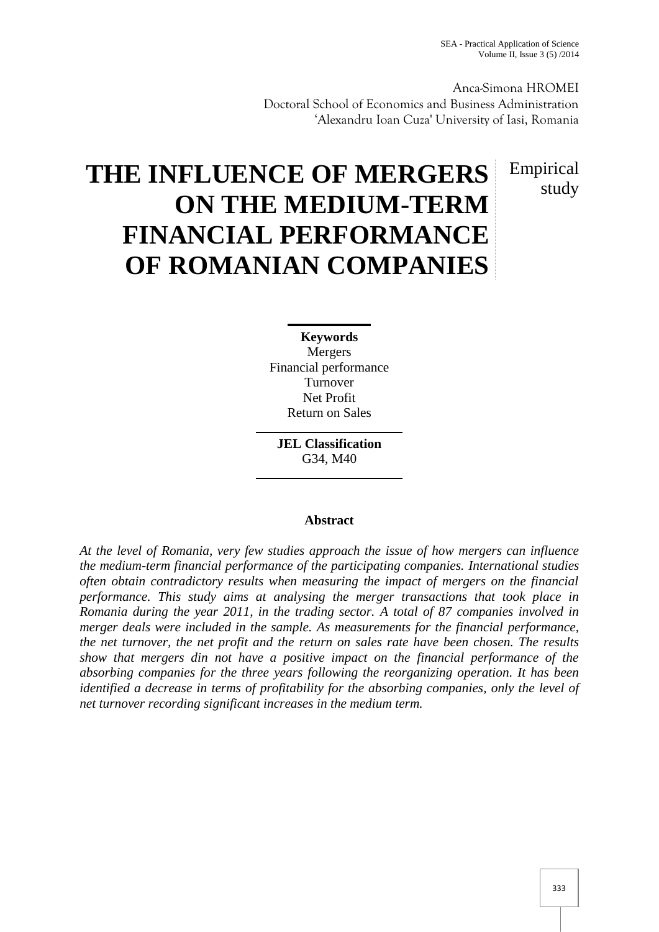Anca-Simona HROMEI Doctoral School of Economics and Business Administration 'Alexandru Ioan Cuza' University of Iasi, Romania

> Empirical study

# **THE INFLUENCE OF MERGERS ON THE MEDIUM-TERM FINANCIAL PERFORMANCE OF ROMANIAN COMPANIES**

**Keywords** Mergers Financial performance Turnover Net Profit Return on Sales

**JEL Classification** G34, M40

# **Abstract**

*At the level of Romania, very few studies approach the issue of how mergers can influence the medium-term financial performance of the participating companies. International studies often obtain contradictory results when measuring the impact of mergers on the financial performance. This study aims at analysing the merger transactions that took place in Romania during the year 2011, in the trading sector. A total of 87 companies involved in merger deals were included in the sample. As measurements for the financial performance, the net turnover, the net profit and the return on sales rate have been chosen. The results show that mergers din not have a positive impact on the financial performance of the absorbing companies for the three years following the reorganizing operation. It has been identified a decrease in terms of profitability for the absorbing companies, only the level of net turnover recording significant increases in the medium term.*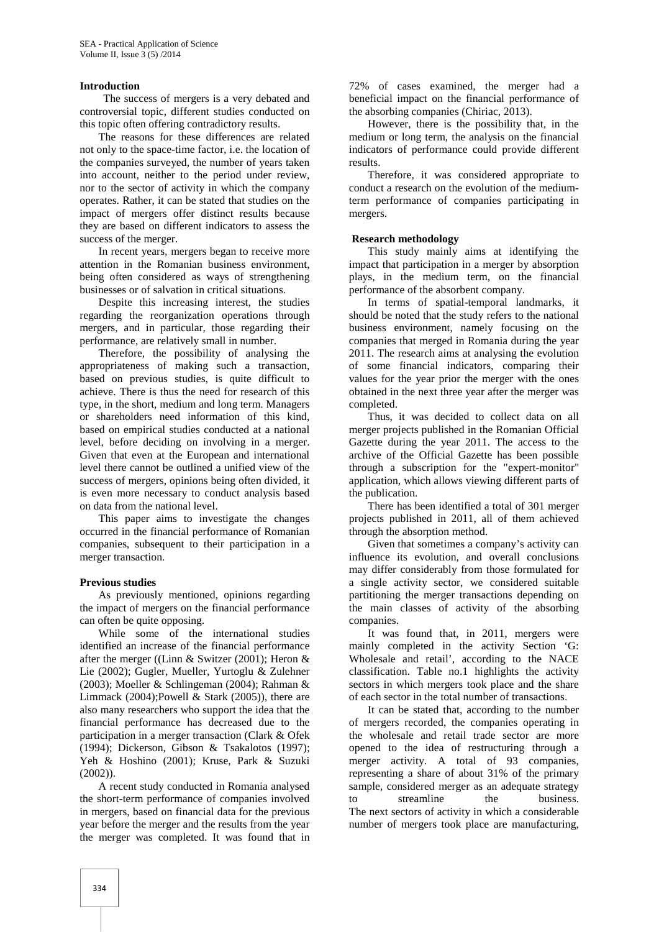#### **Introduction**

The success of mergers is a very debated and controversial topic, different studies conducted on this topic often offering contradictory results.

The reasons for these differences are related not only to the space-time factor, i.e. the location of the companies surveyed, the number of years taken into account, neither to the period under review, nor to the sector of activity in which the company operates. Rather, it can be stated that studies on the impact of mergers offer distinct results because they are based on different indicators to assess the success of the merger.

In recent years, mergers began to receive more attention in the Romanian business environment, being often considered as ways of strengthening businesses or of salvation in critical situations.

Despite this increasing interest, the studies regarding the reorganization operations through mergers, and in particular, those regarding their performance, are relatively small in number.

Therefore, the possibility of analysing the appropriateness of making such a transaction, based on previous studies, is quite difficult to achieve. There is thus the need for research of this type, in the short, medium and long term. Managers or shareholders need information of this kind, based on empirical studies conducted at a national level, before deciding on involving in a merger. Given that even at the European and international level there cannot be outlined a unified view of the success of mergers, opinions being often divided, it is even more necessary to conduct analysis based on data from the national level.

This paper aims to investigate the changes occurred in the financial performance of Romanian companies, subsequent to their participation in a merger transaction.

## **Previous studies**

As previously mentioned, opinions regarding the impact of mergers on the financial performance can often be quite opposing.

While some of the international studies identified an increase of the financial performance after the merger ((Linn & Switzer (2001); Heron & Lie (2002); Gugler, Mueller, Yurtoglu & Zulehner (2003); Moeller & Schlingeman (2004); Rahman & Limmack (2004); Powell  $\&$  Stark (2005)), there are also many researchers who support the idea that the financial performance has decreased due to the participation in a merger transaction (Clark & Ofek (1994); Dickerson, Gibson & Tsakalotos (1997); Yeh & Hoshino (2001); Kruse, Park & Suzuki (2002)).

A recent study conducted in Romania analysed the short-term performance of companies involved in mergers, based on financial data for the previous year before the merger and the results from the year the merger was completed. It was found that in

72% of cases examined, the merger had a beneficial impact on the financial performance of the absorbing companies (Chiriac, 2013).

However, there is the possibility that, in the medium or long term, the analysis on the financial indicators of performance could provide different results.

Therefore, it was considered appropriate to conduct a research on the evolution of the mediumterm performance of companies participating in mergers.

#### **Research methodology**

This study mainly aims at identifying the impact that participation in a merger by absorption plays, in the medium term, on the financial performance of the absorbent company.

In terms of spatial-temporal landmarks, it should be noted that the study refers to the national business environment, namely focusing on the companies that merged in Romania during the year 2011. The research aims at analysing the evolution of some financial indicators, comparing their values for the year prior the merger with the ones obtained in the next three year after the merger was completed.

Thus, it was decided to collect data on all merger projects published in the Romanian Official Gazette during the year 2011. The access to the archive of the Official Gazette has been possible through a subscription for the "expert-monitor" application, which allows viewing different parts of the publication.

There has been identified a total of 301 merger projects published in 2011, all of them achieved through the absorption method.

Given that sometimes a company's activity can influence its evolution, and overall conclusions may differ considerably from those formulated for a single activity sector, we considered suitable partitioning the merger transactions depending on the main classes of activity of the absorbing companies.

It was found that, in 2011, mergers were mainly completed in the activity Section 'G: Wholesale and retail', according to the NACE classification. Table no.1 highlights the activity sectors in which mergers took place and the share of each sector in the total number of transactions.

It can be stated that, according to the number of mergers recorded, the companies operating in the wholesale and retail trade sector are more opened to the idea of restructuring through a merger activity. A total of 93 companies, representing a share of about 31% of the primary sample, considered merger as an adequate strategy streamline the business. The next sectors of activity in which a considerable number of mergers took place are manufacturing,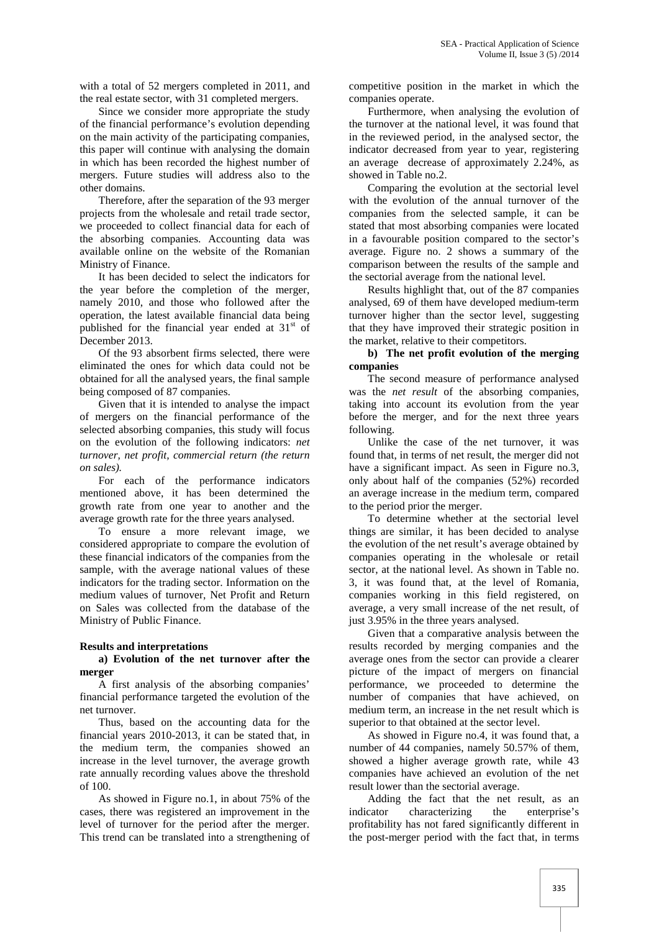with a total of 52 mergers completed in 2011, and the real estate sector, with 31 completed mergers.

Since we consider more appropriate the study of the financial performance's evolution depending on the main activity of the participating companies, this paper will continue with analysing the domain in which has been recorded the highest number of mergers. Future studies will address also to the other domains.

Therefore, after the separation of the 93 merger projects from the wholesale and retail trade sector, we proceeded to collect financial data for each of the absorbing companies. Accounting data was available online on the website of the Romanian Ministry of Finance.

It has been decided to select the indicators for the year before the completion of the merger, namely 2010, and those who followed after the operation, the latest available financial data being published for the financial year ended at  $31<sup>st</sup>$  of December 2013.

Of the 93 absorbent firms selected, there were eliminated the ones for which data could not be obtained for all the analysed years, the final sample being composed of 87 companies.

Given that it is intended to analyse the impact of mergers on the financial performance of the selected absorbing companies, this study will focus on the evolution of the following indicators: *net turnover, net profit, commercial return (the return on sales).*

For each of the performance indicators mentioned above, it has been determined the growth rate from one year to another and the average growth rate for the three years analysed.

To ensure a more relevant image, we considered appropriate to compare the evolution of these financial indicators of the companies from the sample, with the average national values of these indicators for the trading sector. Information on the medium values of turnover, Net Profit and Return on Sales was collected from the database of the Ministry of Public Finance.

## **Results and interpretations**

#### **a) Evolution of the net turnover after the merger**

A first analysis of the absorbing companies' financial performance targeted the evolution of the net turnover.

Thus, based on the accounting data for the financial years 2010-2013, it can be stated that, in the medium term, the companies showed an increase in the level turnover, the average growth rate annually recording values above the threshold of 100.

As showed in Figure no.1, in about 75% of the cases, there was registered an improvement in the level of turnover for the period after the merger. This trend can be translated into a strengthening of

competitive position in the market in which the companies operate.

Furthermore, when analysing the evolution of the turnover at the national level, it was found that in the reviewed period, in the analysed sector, the indicator decreased from year to year, registering an average decrease of approximately 2.24%, as showed in Table no.2.

Comparing the evolution at the sectorial level with the evolution of the annual turnover of the companies from the selected sample, it can be stated that most absorbing companies were located in a favourable position compared to the sector's average. Figure no. 2 shows a summary of the comparison between the results of the sample and the sectorial average from the national level.

Results highlight that, out of the 87 companies analysed, 69 of them have developed medium-term turnover higher than the sector level, suggesting that they have improved their strategic position in the market, relative to their competitors.

#### **b) The net profit evolution of the merging companies**

The second measure of performance analysed was the *net result* of the absorbing companies, taking into account its evolution from the year before the merger, and for the next three years following.

Unlike the case of the net turnover, it was found that, in terms of net result, the merger did not have a significant impact. As seen in Figure no.3, only about half of the companies (52%) recorded an average increase in the medium term, compared to the period prior the merger.

To determine whether at the sectorial level things are similar, it has been decided to analyse the evolution of the net result's average obtained by companies operating in the wholesale or retail sector, at the national level. As shown in Table no. 3, it was found that, at the level of Romania, companies working in this field registered, on average, a very small increase of the net result, of just 3.95% in the three years analysed.

Given that a comparative analysis between the results recorded by merging companies and the average ones from the sector can provide a clearer picture of the impact of mergers on financial performance, we proceeded to determine the number of companies that have achieved, on medium term, an increase in the net result which is superior to that obtained at the sector level.

As showed in Figure no.4, it was found that, a number of 44 companies, namely 50.57% of them, showed a higher average growth rate, while 43 companies have achieved an evolution of the net result lower than the sectorial average.

Adding the fact that the net result, as an indicator characterizing the enterprise's profitability has not fared significantly different in the post-merger period with the fact that, in terms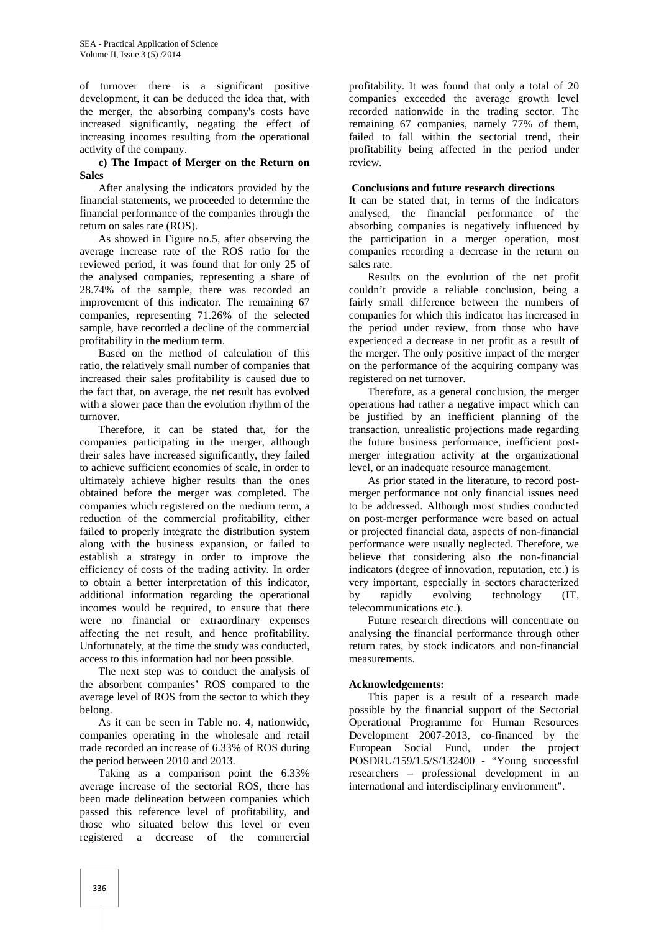of turnover there is a significant positive development, it can be deduced the idea that, with the merger, the absorbing company's costs have increased significantly, negating the effect of increasing incomes resulting from the operational activity of the company.

### **c) The Impact of Merger on the Return on Sales**

After analysing the indicators provided by the financial statements, we proceeded to determine the financial performance of the companies through the return on sales rate (ROS).

As showed in Figure no.5, after observing the average increase rate of the ROS ratio for the reviewed period, it was found that for only 25 of the analysed companies, representing a share of 28.74% of the sample, there was recorded an improvement of this indicator. The remaining 67 companies, representing 71.26% of the selected sample, have recorded a decline of the commercial profitability in the medium term.

Based on the method of calculation of this ratio, the relatively small number of companies that increased their sales profitability is caused due to the fact that, on average, the net result has evolved with a slower pace than the evolution rhythm of the turnover.

Therefore, it can be stated that, for the companies participating in the merger, although their sales have increased significantly, they failed to achieve sufficient economies of scale, in order to ultimately achieve higher results than the ones obtained before the merger was completed. The companies which registered on the medium term, a reduction of the commercial profitability, either failed to properly integrate the distribution system along with the business expansion, or failed to establish a strategy in order to improve the efficiency of costs of the trading activity. In order to obtain a better interpretation of this indicator, additional information regarding the operational incomes would be required, to ensure that there were no financial or extraordinary expenses affecting the net result, and hence profitability. Unfortunately, at the time the study was conducted, access to this information had not been possible.

The next step was to conduct the analysis of the absorbent companies' ROS compared to the average level of ROS from the sector to which they belong.

As it can be seen in Table no. 4, nationwide, companies operating in the wholesale and retail trade recorded an increase of 6.33% of ROS during the period between 2010 and 2013.

Taking as a comparison point the 6.33% average increase of the sectorial ROS, there has been made delineation between companies which passed this reference level of profitability, and those who situated below this level or even registered a decrease of the commercial

profitability. It was found that only a total of 20 companies exceeded the average growth level recorded nationwide in the trading sector. The remaining 67 companies, namely 77% of them, failed to fall within the sectorial trend, their profitability being affected in the period under review.

## **Conclusions and future research directions**

It can be stated that, in terms of the indicators analysed, the financial performance of the absorbing companies is negatively influenced by the participation in a merger operation, most companies recording a decrease in the return on sales rate.

Results on the evolution of the net profit couldn't provide a reliable conclusion, being a fairly small difference between the numbers of companies for which this indicator has increased in the period under review, from those who have experienced a decrease in net profit as a result of the merger. The only positive impact of the merger on the performance of the acquiring company was registered on net turnover.

Therefore, as a general conclusion, the merger operations had rather a negative impact which can be justified by an inefficient planning of the transaction, unrealistic projections made regarding the future business performance, inefficient post merger integration activity at the organizational level, or an inadequate resource management.

As prior stated in the literature, to record post merger performance not only financial issues need to be addressed. Although most studies conducted on post-merger performance were based on actual or projected financial data, aspects of non-financial performance were usually neglected. Therefore, we believe that considering also the non-financial indicators (degree of innovation, reputation, etc.) is very important, especially in sectors characterized by rapidly evolving technology (IT, telecommunications etc.).

Future research directions will concentrate on analysing the financial performance through other return rates, by stock indicators and non-financial measurements.

## **Acknowledgements:**

This paper is a result of a research made possible by the financial support of the Sectorial Operational Programme for Human Resources Development 2007-2013, co-financed by the European Social Fund, under the project POSDRU/159/1.5/S/132400 - "Young successful researchers – professional development in an international and interdisciplinary environment".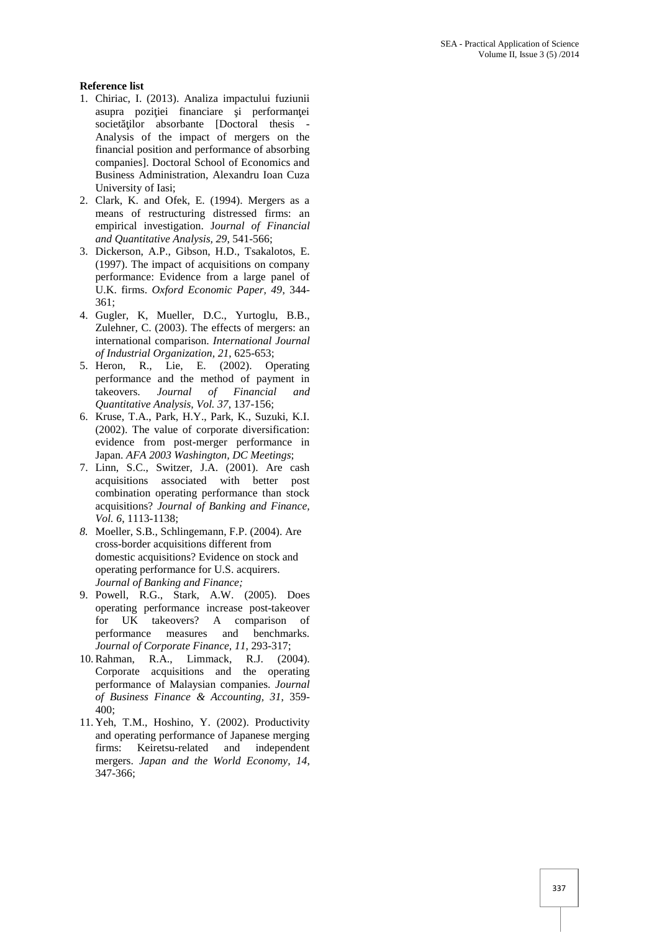## **Reference list**

- 1. Chiriac, I. (2013). Analiza impactului fuziunii asupra pozi jei financiare i performan ei societ ilor absorbante [Doctoral thesis -Analysis of the impact of mergers on the financial position and performance of absorbing companies]. Doctoral School of Economics and Business Administration, Alexandru Ioan Cuza University of Iasi;
- 2. Clark, K. and Ofek, E. (1994). Mergers as a means of restructuring distressed firms: an empirical investigation. J*ournal of Financial and Quantitative Analysis, 29*, 541-566;
- 3. Dickerson, A.P., Gibson, H.D., Tsakalotos, E. (1997). The impact of acquisitions on company performance: Evidence from a large panel of U.K. firms. *Oxford Economic Paper, 49*, 344- 361;
- 4. Gugler, K, Mueller, D.C., Yurtoglu, B.B., Zulehner, C. (2003). The effects of mergers: an international comparison. *International Journal of Industrial Organization, 21*, 625-653;
- 5. Heron, R., Lie, E. (2002). Operating performance and the method of payment in takeovers. *Journal of Financial and Quantitative Analysis, Vol. 37*, 137-156;
- 6. Kruse, T.A., Park, H.Y., Park, K., Suzuki, K.I. (2002). The value of corporate diversification: evidence from post-merger performance in Japan. *AFA 2003 Washington, DC Meetings*;
- 7. Linn, S.C., Switzer, J.A. (2001). Are cash acquisitions associated with better post combination operating performance than stock acquisitions? *Journal of Banking and Finance, Vol. 6*, 1113-1138;
- *8.* Moeller, S.B., Schlingemann, F.P. (2004). Are cross-border acquisitions different from domestic acquisitions? Evidence on stock and operating performance for U.S. acquirers. *Journal of Banking and Finance;*
- 9. Powell, R.G., Stark, A.W. (2005). Does operating performance increase post-takeover for UK takeovers? A comparison of performance measures and benchmarks. *Journal of Corporate Finance, 11*, 293-317;
- 10.Rahman, R.A., Limmack, R.J. (2004). Corporate acquisitions and the operating performance of Malaysian companies. *Journal of Business Finance & Accounting, 31*, 359- 400;
- 11. Yeh, T.M., Hoshino, Y. (2002). Productivity and operating performance of Japanese merging firms: Keiretsu-related and independent mergers. *Japan and the World Economy, 14*, 347-366;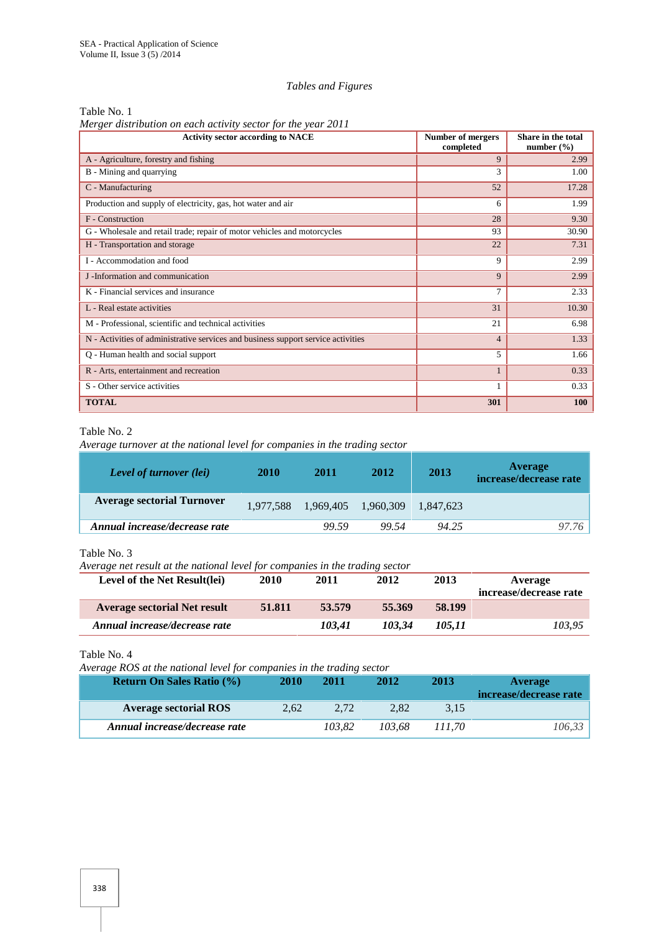#### *Tables and Figures*

Table No. 1

*Merger distribution on each activity sector for the year 2011*

| <b>Activity sector according to NACE</b>                                          | Number of mergers<br>completed | Share in the total<br>number $(\% )$ |
|-----------------------------------------------------------------------------------|--------------------------------|--------------------------------------|
| A - Agriculture, forestry and fishing                                             | 9                              | 2.99                                 |
| B - Mining and quarrying                                                          | 3                              | 1.00                                 |
| C - Manufacturing                                                                 | 52                             | 17.28                                |
| Production and supply of electricity, gas, hot water and air                      | 6                              | 1.99                                 |
| F - Construction                                                                  | 28                             | 9.30                                 |
| G - Wholesale and retail trade; repair of motor vehicles and motorcycles          | 93                             | 30.90                                |
| H - Transportation and storage                                                    | 22                             | 7.31                                 |
| I - Accommodation and food                                                        | 9                              | 2.99                                 |
| J -Information and communication                                                  | 9                              | 2.99                                 |
| K - Financial services and insurance                                              | 7                              | 2.33                                 |
| L - Real estate activities                                                        | 31                             | 10.30                                |
| M - Professional, scientific and technical activities                             | 21                             | 6.98                                 |
| N - Activities of administrative services and business support service activities | $\overline{4}$                 | 1.33                                 |
| Q - Human health and social support                                               | 5                              | 1.66                                 |
| R - Arts, entertainment and recreation                                            | $\mathbf{1}$                   | 0.33                                 |
| S - Other service activities                                                      | 1                              | 0.33                                 |
| <b>TOTAL</b>                                                                      | 301                            | 100                                  |

# Table No. 2

*Average turnover at the national level for companies in the trading sector*

| <b>Level of turnover (lei)</b>    | 2010 | 2011                          | 2012  | 2013      | Average<br>increase/decrease rate |
|-----------------------------------|------|-------------------------------|-------|-----------|-----------------------------------|
| <b>Average sectorial Turnover</b> |      | 1,977,588 1,969,405 1,960,309 |       | 1.847.623 |                                   |
| Annual increase/decrease rate     |      | 99.59                         | 99.54 | 94.25     | 97.76                             |

Table No. 3

*Average net result at the national level for companies in the trading sector*

| Level of the Net Result(lei)        | 2010   | 2011   | 2012   | 2013   | Average<br>increase/decrease rate |
|-------------------------------------|--------|--------|--------|--------|-----------------------------------|
| <b>Average sectorial Net result</b> | 51.811 | 53.579 | 55.369 | 58.199 |                                   |
| Annual increase/decrease rate       |        | 103.41 | 103.34 | 105.11 | 103,95                            |

Table No. 4

*Average ROS at the national level for companies in the trading sector*

| <b>Return On Sales Ratio (%)</b> | 2010 | 2011   | 2012   | 2013   | Average<br>increase/decrease rate |
|----------------------------------|------|--------|--------|--------|-----------------------------------|
| <b>Average sectorial ROS</b>     | 2.62 | 2.72   | 2.82   | 3,15   |                                   |
| Annual increase/decrease rate    |      | 103.82 | 103.68 | 111.70 | 106,33                            |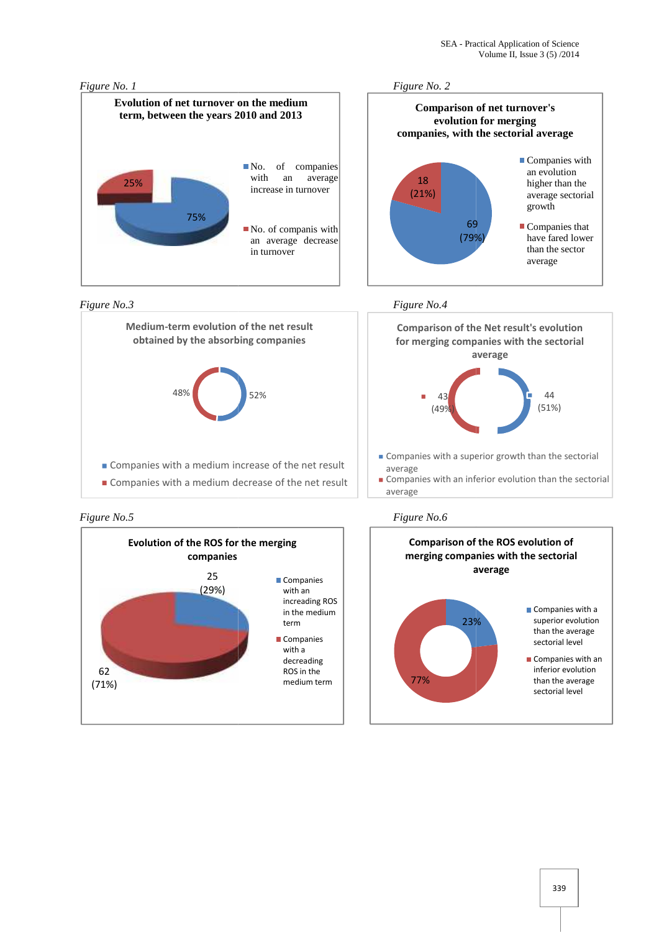